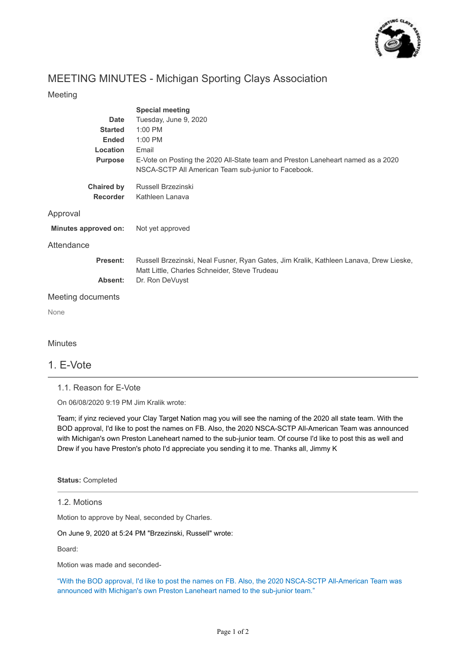

# MEETING MINUTES - Michigan Sporting Clays Association

#### Meeting

|                      | <b>Special meeting</b>                                                                                                                  |
|----------------------|-----------------------------------------------------------------------------------------------------------------------------------------|
| <b>Date</b>          | Tuesday, June 9, 2020                                                                                                                   |
| <b>Started</b>       | 1:00 PM                                                                                                                                 |
| <b>Ended</b>         | 1:00 PM                                                                                                                                 |
| Location             | Email                                                                                                                                   |
| <b>Purpose</b>       | E-Vote on Posting the 2020 All-State team and Preston Laneheart named as a 2020<br>NSCA-SCTP All American Team sub-junior to Facebook.  |
| <b>Chaired by</b>    | Russell Brzezinski                                                                                                                      |
| <b>Recorder</b>      | Kathleen Lanava                                                                                                                         |
| Approval             |                                                                                                                                         |
| Minutes approved on: | Not yet approved                                                                                                                        |
| Attendance           |                                                                                                                                         |
| Present:             | Russell Brzezinski, Neal Fusner, Ryan Gates, Jim Kralik, Kathleen Lanava, Drew Lieske,<br>Matt Little, Charles Schneider, Steve Trudeau |
| Absent:              | Dr. Ron DeVuyst                                                                                                                         |
| Meeting documents    |                                                                                                                                         |
| None                 |                                                                                                                                         |
| <b>Minutes</b>       |                                                                                                                                         |

## 1. E-Vote

1.1. Reason for E-Vote

On 06/08/2020 9:19 PM Jim Kralik wrote:

Team; if yinz recieved your Clay Target Nation mag you will see the naming of the 2020 all state team. With the BOD approval, I'd like to post the names on FB. Also, the 2020 NSCA-SCTP All-American Team was announced with Michigan's own Preston Laneheart named to the sub-junior team. Of course I'd like to post this as well and Drew if you have Preston's photo I'd appreciate you sending it to me. Thanks all, Jimmy K

**Status:** Completed

#### 1.2. Motions

Motion to approve by Neal, seconded by Charles.

On June 9, 2020 at 5:24 PM "Brzezinski, Russell" wrote:

Board:

Motion was made and seconded-

"With the BOD approval, I'd like to post the names on FB. Also, the 2020 NSCA-SCTP All-American Team was announced with Michigan's own Preston Laneheart named to the sub-junior team."